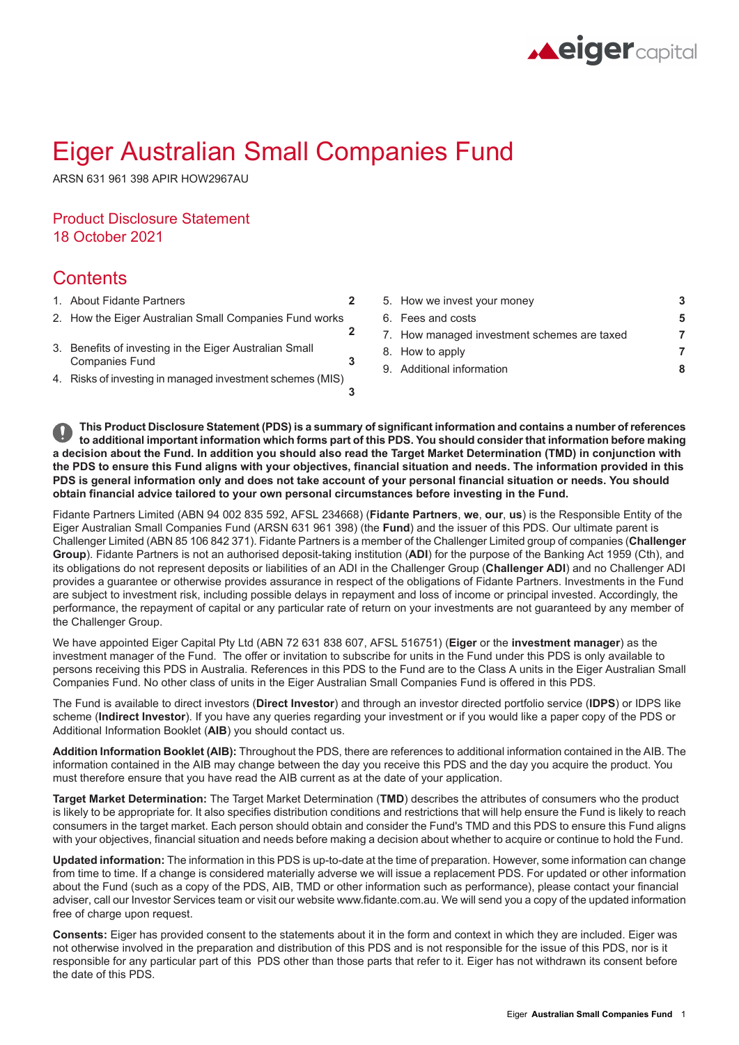

# Eiger Australian Small Companies Fund

ARSN 631 961 398 APIR HOW2967AU

## Product Disclosure Statement 18 October 2021

## **Contents**

- 
- **[2](#page-1-1)** 2. How the Eiger Australian Small [Companies](#page-1-1) Fund works
- 3. Benefits of investing in the Eiger [Australian](#page-2-1) Small [Companies](#page-2-1) Fund
- 4. Risks of investing in managed [investment](#page-2-2) schemes (MIS)
- 1. About Fidante [Partners](#page-1-0) **[2](#page-1-0)** 5. How we invest your [money](#page-2-0) **[3](#page-2-0)** 6. Fees and [costs](#page-4-0) **[5](#page-4-0)** 7. How managed [investment](#page-6-0) schemes are taxed **[7](#page-6-0)** 8. How to [apply](#page-6-1) **[7](#page-6-1)** 9. Additional [information](#page-7-0) **[8](#page-7-0)**

This Product Disclosure Statement (PDS) is a summary of significant information and contains a number of references to additional important information which forms part of this PDS. You should consider that information before making a decision about the Fund. In addition you should also read the Target Market Determination (TMD) in conjunction with the PDS to ensure this Fund aligns with your objectives, financial situation and needs. The information provided in this PDS is general information only and does not take account of your personal financial situation or needs. You should **obtain financial advice tailored to your own personal circumstances before investing in the Fund.**

**[3](#page-2-1)**

**[3](#page-2-2)**

Fidante Partners Limited (ABN 94 002 835 592, AFSL 234668) (**Fidante Partners**, **we**, **our**, **us**) is the Responsible Entity of the Eiger Australian Small Companies Fund (ARSN 631 961 398) (the **Fund**) and the issuer of this PDS. Our ultimate parent is Challenger Limited (ABN 85 106 842 371). Fidante Partners is a member of the Challenger Limited group of companies (**Challenger Group**). Fidante Partners is not an authorised deposit-taking institution (**ADI**) for the purpose of the Banking Act 1959 (Cth), and its obligations do not represent deposits or liabilities of an ADI in the Challenger Group (**Challenger ADI**) and no Challenger ADI provides a guarantee or otherwise provides assurance in respect of the obligations of Fidante Partners. Investments in the Fund are subject to investment risk, including possible delays in repayment and loss of income or principal invested. Accordingly, the performance, the repayment of capital or any particular rate of return on your investments are not guaranteed by any member of the Challenger Group.

We have appointed Eiger Capital Pty Ltd (ABN 72 631 838 607, AFSL 516751) (**Eiger** or the **investment manager**) as the investment manager of the Fund. The offer or invitation to subscribe for units in the Fund under this PDS is only available to persons receiving this PDS in Australia. References in this PDS to the Fund are to the Class A units in the Eiger Australian Small Companies Fund. No other class of units in the Eiger Australian Small Companies Fund is offered in this PDS.

The Fund is available to direct investors (**Direct Investor**) and through an investor directed portfolio service (**IDPS**) or IDPS like scheme (**Indirect Investor**). If you have any queries regarding your investment or if you would like a paper copy of the PDS or Additional Information Booklet (**AIB**) you should contact us.

**Addition Information Booklet (AIB):** Throughout the PDS, there are references to additional information contained in the AIB. The information contained in the AIB may change between the day you receive this PDS and the day you acquire the product. You must therefore ensure that you have read the AIB current as at the date of your application.

**Target Market Determination:** The Target Market Determination (**TMD**) describes the attributes of consumers who the product is likely to be appropriate for. It also specifies distribution conditions and restrictions that will help ensure the Fund is likely to reach consumers in the target market. Each person should obtain and consider the Fund's TMD and this PDS to ensure this Fund aligns with your objectives, financial situation and needs before making a decision about whether to acquire or continue to hold the Fund.

**Updated information:** The information in this PDS is up-to-date at the time of preparation. However, some information can change from time to time. If a change is considered materially adverse we will issue a replacement PDS. For updated or other information about the Fund (such as a copy of the PDS, AIB, TMD or other information such as performance), please contact your financial adviser, call our Investor Services team or visit our website www.fidante.com.au. We will send you a copy of the updated information free of charge upon request.

**Consents:** Eiger has provided consent to the statements about it in the form and context in which they are included. Eiger was not otherwise involved in the preparation and distribution of this PDS and is not responsible for the issue of this PDS, nor is it responsible for any particular part of this PDS other than those parts that refer to it. Eiger has not withdrawn its consent before the date of this PDS.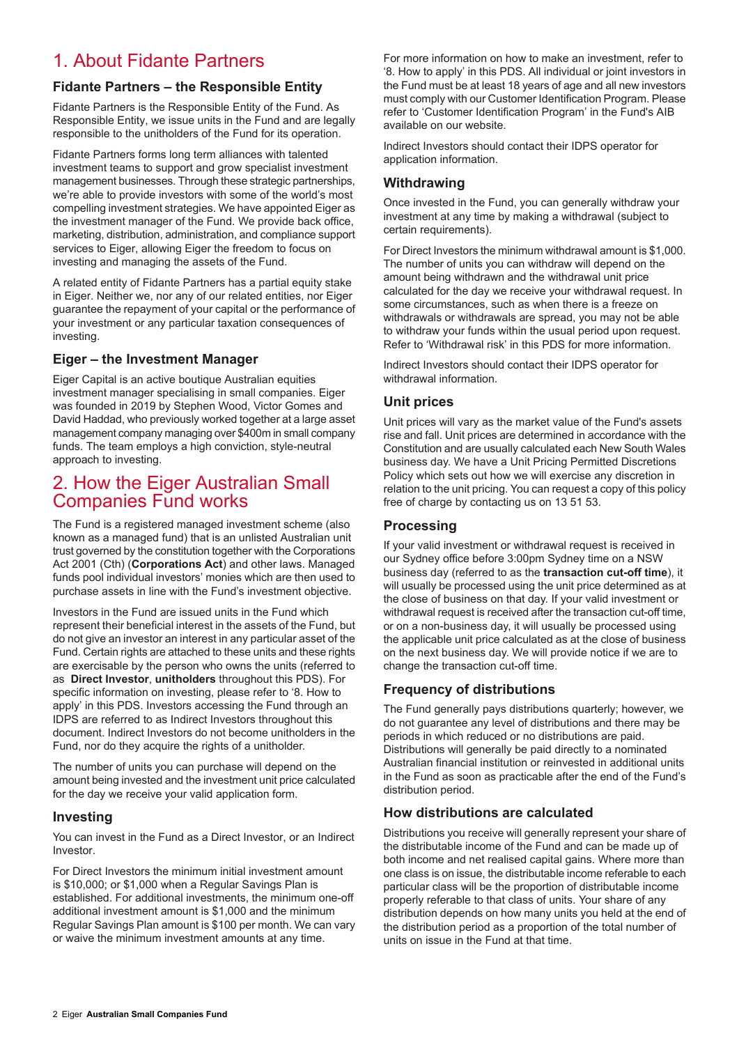## <span id="page-1-0"></span>1. About Fidante Partners

## **Fidante Partners – the Responsible Entity**

Fidante Partners is the Responsible Entity of the Fund. As Responsible Entity, we issue units in the Fund and are legally responsible to the unitholders of the Fund for its operation.

Fidante Partners forms long term alliances with talented investment teams to support and grow specialist investment management businesses. Through these strategic partnerships, we're able to provide investors with some of the world's most compelling investment strategies. We have appointed Eiger as the investment manager of the Fund. We provide back office, marketing, distribution, administration, and compliance support services to Eiger, allowing Eiger the freedom to focus on investing and managing the assets of the Fund.

A related entity of Fidante Partners has a partial equity stake in Eiger. Neither we, nor any of our related entities, nor Eiger guarantee the repayment of your capital or the performance of your investment or any particular taxation consequences of investing.

### **Eiger – the Investment Manager**

Eiger Capital is an active boutique Australian equities investment manager specialising in small companies. Eiger was founded in 2019 by Stephen Wood, Victor Gomes and David Haddad, who previously worked together at a large asset management company managing over \$400m in small company funds. The team employs a high conviction, style-neutral approach to investing.

## <span id="page-1-1"></span>2. How the Eiger Australian Small Companies Fund works

The Fund is a registered managed investment scheme (also known as a managed fund) that is an unlisted Australian unit trust governed by the constitution together with the Corporations Act 2001 (Cth) (**Corporations Act**) and other laws. Managed funds pool individual investors' monies which are then used to purchase assets in line with the Fund's investment objective.

Investors in the Fund are issued units in the Fund which represent their beneficial interest in the assets of the Fund, but do not give an investor an interest in any particular asset of the Fund. Certain rights are attached to these units and these rights are exercisable by the person who owns the units (referred to as **Direct Investor**, **unitholders** throughout this PDS). For specific information on investing, please refer to '8. How to apply' in this PDS. Investors accessing the Fund through an IDPS are referred to as Indirect Investors throughout this document. Indirect Investors do not become unitholders in the Fund, nor do they acquire the rights of a unitholder.

The number of units you can purchase will depend on the amount being invested and the investment unit price calculated for the day we receive your valid application form.

### **Investing**

You can invest in the Fund as a Direct Investor, or an Indirect Investor.

For Direct Investors the minimum initial investment amount is \$10,000; or \$1,000 when a Regular Savings Plan is established. For additional investments, the minimum one-off additional investment amount is \$1,000 and the minimum Regular Savings Plan amount is \$100 per month. We can vary or waive the minimum investment amounts at any time.

For more information on how to make an investment, refer to '8. How to apply' in this PDS. All individual or joint investors in the Fund must be at least 18 years of age and all new investors must comply with our Customer Identification Program. Please refer to 'Customer Identification Program' in the Fund's AIB available on our website.

Indirect Investors should contact their IDPS operator for application information.

### **Withdrawing**

Once invested in the Fund, you can generally withdraw your investment at any time by making a withdrawal (subject to certain requirements).

For Direct Investors the minimum withdrawal amount is \$1,000. The number of units you can withdraw will depend on the amount being withdrawn and the withdrawal unit price calculated for the day we receive your withdrawal request. In some circumstances, such as when there is a freeze on withdrawals or withdrawals are spread, you may not be able to withdraw your funds within the usual period upon request. Refer to 'Withdrawal risk' in this PDS for more information.

Indirect Investors should contact their IDPS operator for withdrawal information.

## **Unit prices**

Unit prices will vary as the market value of the Fund's assets rise and fall. Unit prices are determined in accordance with the Constitution and are usually calculated each New South Wales business day. We have a Unit Pricing Permitted Discretions Policy which sets out how we will exercise any discretion in relation to the unit pricing. You can request a copy of this policy free of charge by contacting us on 13 51 53.

### **Processing**

If your valid investment or withdrawal request is received in our Sydney office before 3:00pm Sydney time on a NSW business day (referred to as the **transaction cut-off time**), it will usually be processed using the unit price determined as at the close of business on that day. If your valid investment or withdrawal request is received after the transaction cut-off time, or on a non-business day, it will usually be processed using the applicable unit price calculated as at the close of business on the next business day. We will provide notice if we are to change the transaction cut-off time.

## **Frequency of distributions**

The Fund generally pays distributions quarterly; however, we do not guarantee any level of distributions and there may be periods in which reduced or no distributions are paid. Distributions will generally be paid directly to a nominated Australian financial institution or reinvested in additional units in the Fund as soon as practicable after the end of the Fund's distribution period.

## **How distributions are calculated**

Distributions you receive will generally represent your share of the distributable income of the Fund and can be made up of both income and net realised capital gains. Where more than one class is on issue, the distributable income referable to each particular class will be the proportion of distributable income properly referable to that class of units. Your share of any distribution depends on how many units you held at the end of the distribution period as a proportion of the total number of units on issue in the Fund at that time.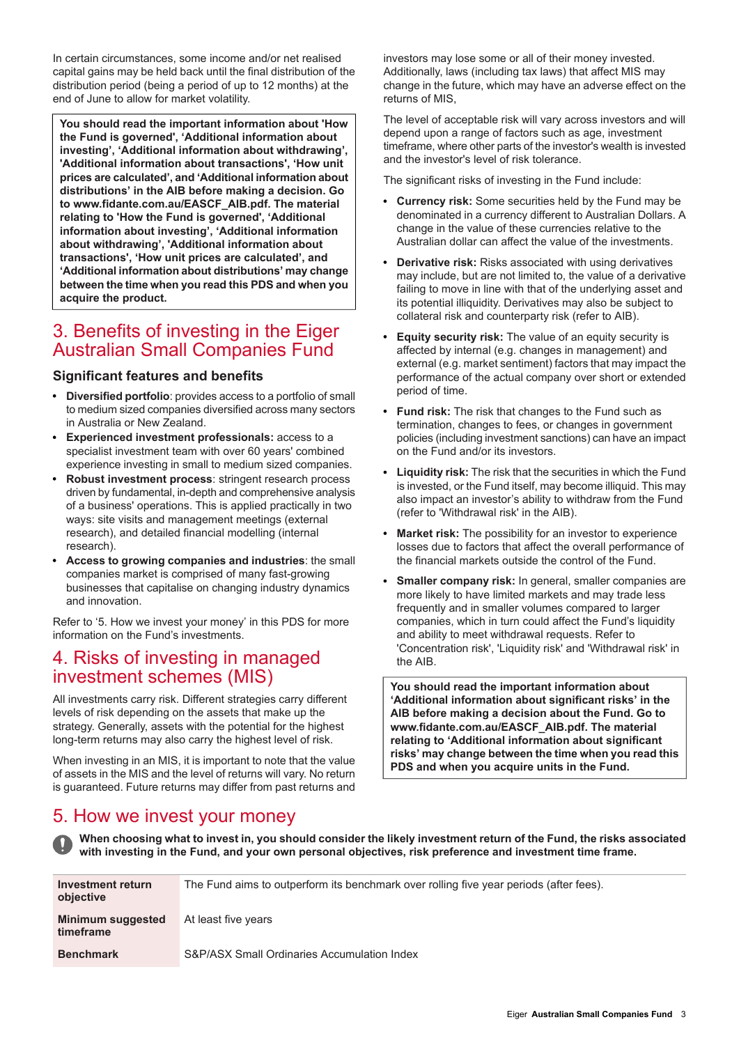In certain circumstances, some income and/or net realised capital gains may be held back until the final distribution of the distribution period (being a period of up to 12 months) at the end of June to allow for market volatility.

**You should read the important information about 'How the Fund is governed', 'Additional information about investing', 'Additional information about withdrawing', 'Additional information about transactions', 'How unit prices are calculated', and 'Additional information about distributions' in the AIB before making a decision. Go to www.fidante.com.au/EASCF\_AIB.pdf. The material relating to 'How the Fund is governed', 'Additional information about investing', 'Additional information about withdrawing', 'Additional information about transactions', 'How unit prices are calculated', and 'Additional information about distributions' may change between the time when you read this PDS and when you acquire the product.**

## <span id="page-2-1"></span>3. Benefits of investing in the Eiger Australian Small Companies Fund

### **Significant features and benefits**

- **Diversified portfolio**: provides access to a portfolio of small to medium sized companies diversified across many sectors in Australia or New Zealand.
- **Experienced investment professionals:** access to a specialist investment team with over 60 years' combined experience investing in small to medium sized companies.
- **Robust investment process**: stringent research process driven by fundamental, in-depth and comprehensive analysis of a business' operations. This is applied practically in two ways: site visits and management meetings (external research), and detailed financial modelling (internal research).
- **Access to growing companies and industries**: the small companies market is comprised of many fast-growing businesses that capitalise on changing industry dynamics and innovation.

<span id="page-2-2"></span>Refer to '5. How we invest your money' in this PDS for more information on the Fund's investments.

## 4. Risks of investing in managed investment schemes (MIS)

All investments carry risk. Different strategies carry different levels of risk depending on the assets that make up the strategy. Generally, assets with the potential for the highest long-term returns may also carry the highest level of risk.

<span id="page-2-0"></span>When investing in an MIS, it is important to note that the value of assets in the MIS and the level of returns will vary. No return is guaranteed. Future returns may differ from past returns and

investors may lose some or all of their money invested. Additionally, laws (including tax laws) that affect MIS may change in the future, which may have an adverse effect on the returns of MIS,

The level of acceptable risk will vary across investors and will depend upon a range of factors such as age, investment timeframe, where other parts of the investor's wealth is invested and the investor's level of risk tolerance.

The significant risks of investing in the Fund include:

- **Currency risk:** Some securities held by the Fund may be denominated in a currency different to Australian Dollars. A change in the value of these currencies relative to the Australian dollar can affect the value of the investments.
- **Derivative risk:** Risks associated with using derivatives may include, but are not limited to, the value of a derivative failing to move in line with that of the underlying asset and its potential illiquidity. Derivatives may also be subject to collateral risk and counterparty risk (refer to AIB).
- **Equity security risk:** The value of an equity security is  $\bullet$ affected by internal (e.g. changes in management) and external (e.g. market sentiment) factors that may impact the performance of the actual company over short or extended period of time.
- **Fund risk:** The risk that changes to the Fund such as termination, changes to fees, or changes in government policies (including investment sanctions) can have an impact on the Fund and/or its investors.
- **Liquidity risk:** The risk that the securities in which the Fund is invested, or the Fund itself, may become illiquid. This may also impact an investor's ability to withdraw from the Fund (refer to 'Withdrawal risk' in the AIB).
- **Market risk:** The possibility for an investor to experience losses due to factors that affect the overall performance of the financial markets outside the control of the Fund.
- **Smaller company risk:** In general, smaller companies are more likely to have limited markets and may trade less frequently and in smaller volumes compared to larger companies, which in turn could affect the Fund's liquidity and ability to meet withdrawal requests. Refer to 'Concentration risk', 'Liquidity risk' and 'Withdrawal risk' in the AIB.

**You should read the important information about 'Additional information about significant risks' in the AIB before making a decision about the Fund. Go to www.fidante.com.au/EASCF\_AIB.pdf. The material relating to 'Additional information about significant risks' may change between the time when you read this PDS and when you acquire units in the Fund.**

## 5. How we invest your money

When choosing what to invest in, you should consider the likely investment return of the Fund, the risks associated **with investing in the Fund, and your own personal objectives, risk preference and investment time frame.**

| Investment return<br>objective        | The Fund aims to outperform its benchmark over rolling five year periods (after fees). |
|---------------------------------------|----------------------------------------------------------------------------------------|
| <b>Minimum suggested</b><br>timeframe | At least five years                                                                    |
| <b>Benchmark</b>                      | S&P/ASX Small Ordinaries Accumulation Index                                            |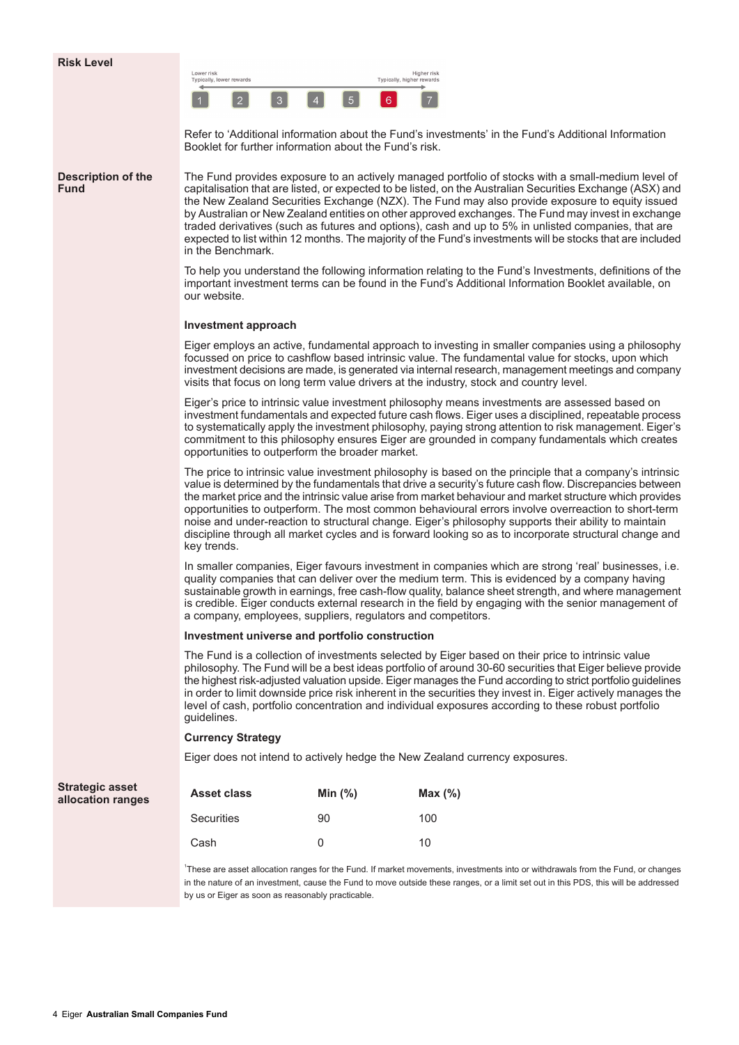| Lower risk<br>Typically, lower rewards |   |   |  |   | Higher risk<br>Typically, higher rewards |
|----------------------------------------|---|---|--|---|------------------------------------------|
|                                        | × | ≂ |  | c |                                          |

Refer to 'Additional information about the Fund's investments' in the Fund's Additional Information Booklet for further information about the Fund's risk.

#### **Description of the Fund**

The Fund provides exposure to an actively managed portfolio of stocks with a small-medium level of capitalisation that are listed, or expected to be listed, on the Australian Securities Exchange (ASX) and the New Zealand Securities Exchange (NZX). The Fund may also provide exposure to equity issued by Australian or New Zealand entities on other approved exchanges. The Fund may invest in exchange traded derivatives (such as futures and options), cash and up to 5% in unlisted companies, that are expected to list within 12 months. The majority of the Fund's investments will be stocks that are included in the Benchmark.

To help you understand the following information relating to the Fund's Investments, definitions of the important investment terms can be found in the Fund's Additional Information Booklet available, on our website.

#### **Investment approach**

Eiger employs an active, fundamental approach to investing in smaller companies using a philosophy focussed on price to cashflow based intrinsic value. The fundamental value for stocks, upon which investment decisions are made, is generated via internal research, management meetings and company visits that focus on long term value drivers at the industry, stock and country level.

Eiger's price to intrinsic value investment philosophy means investments are assessed based on investment fundamentals and expected future cash flows. Eiger uses a disciplined, repeatable process to systematically apply the investment philosophy, paying strong attention to risk management. Eiger's commitment to this philosophy ensures Eiger are grounded in company fundamentals which creates opportunities to outperform the broader market.

The price to intrinsic value investment philosophy is based on the principle that a company's intrinsic value is determined by the fundamentals that drive a security's future cash flow. Discrepancies between the market price and the intrinsic value arise from market behaviour and market structure which provides opportunities to outperform. The most common behavioural errors involve overreaction to short-term noise and under-reaction to structural change. Eiger's philosophy supports their ability to maintain discipline through all market cycles and is forward looking so as to incorporate structural change and key trends.

In smaller companies, Eiger favours investment in companies which are strong 'real' businesses, i.e. quality companies that can deliver over the medium term. This is evidenced by a company having sustainable growth in earnings, free cash-flow quality, balance sheet strength, and where management is credible. Eiger conducts external research in the field by engaging with the senior management of a company, employees, suppliers, regulators and competitors.

#### **Investment universe and portfolio construction**

The Fund is a collection of investments selected by Eiger based on their price to intrinsic value philosophy. The Fund will be a best ideas portfolio of around 30-60 securities that Eiger believe provide the highest risk-adjusted valuation upside. Eiger manages the Fund according to strict portfolio guidelines in order to limit downside price risk inherent in the securities they invest in. Eiger actively manages the level of cash, portfolio concentration and individual exposures according to these robust portfolio guidelines.

#### **Currency Strategy**

Eiger does not intend to actively hedge the New Zealand currency exposures.

| Asset class       | Min $(%)$ | Max $(\%)$ |
|-------------------|-----------|------------|
| <b>Securities</b> | 90        | 100        |
| Cash              | O         | 10         |

1 These are asset allocation ranges for the Fund. If market movements, investments into or withdrawals from the Fund, or changes in the nature of an investment, cause the Fund to move outside these ranges, or a limit set out in this PDS, this will be addressed by us or Figer as soon as reasonably practicable.

**Strategic asset allocation ranges**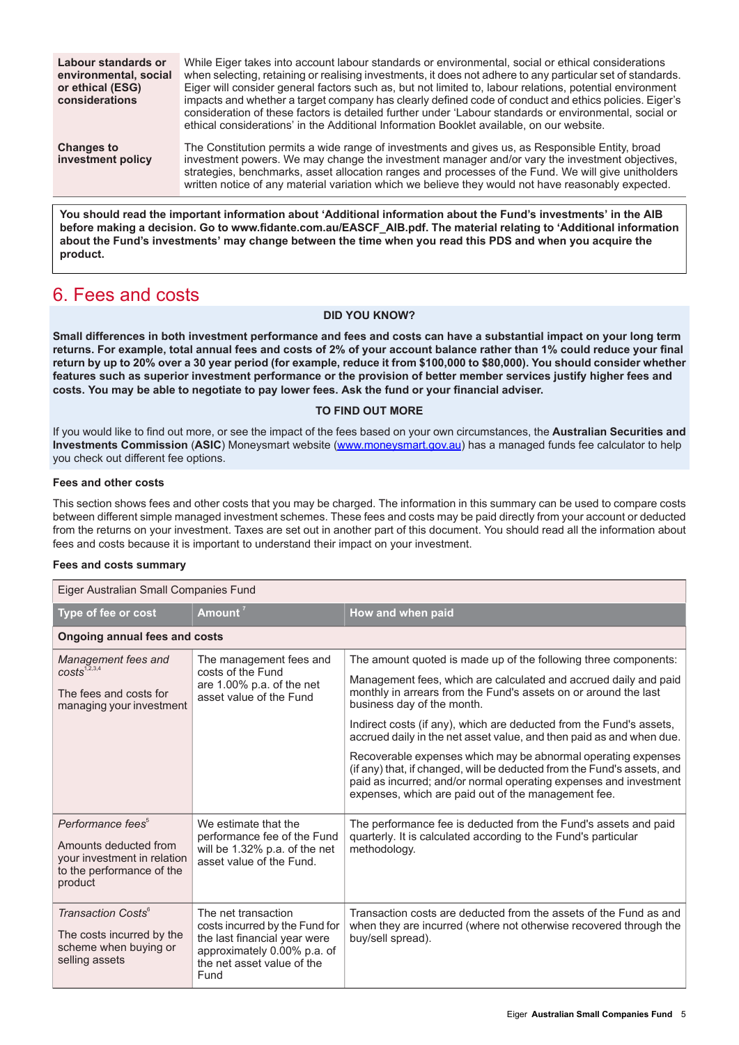| Labour standards or<br>environmental, social<br>or ethical (ESG)<br>considerations | While Eiger takes into account labour standards or environmental, social or ethical considerations<br>when selecting, retaining or realising investments, it does not adhere to any particular set of standards.<br>Eiger will consider general factors such as, but not limited to, labour relations, potential environment<br>impacts and whether a target company has clearly defined code of conduct and ethics policies. Eiger's<br>consideration of these factors is detailed further under 'Labour standards or environmental, social or<br>ethical considerations' in the Additional Information Booklet available, on our website. |
|------------------------------------------------------------------------------------|---------------------------------------------------------------------------------------------------------------------------------------------------------------------------------------------------------------------------------------------------------------------------------------------------------------------------------------------------------------------------------------------------------------------------------------------------------------------------------------------------------------------------------------------------------------------------------------------------------------------------------------------|
| <b>Changes to</b><br>investment policy                                             | The Constitution permits a wide range of investments and gives us, as Responsible Entity, broad<br>investment powers. We may change the investment manager and/or vary the investment objectives,<br>strategies, benchmarks, asset allocation ranges and processes of the Fund. We will give unitholders<br>written notice of any material variation which we believe they would not have reasonably expected.                                                                                                                                                                                                                              |

**You should read the important information about 'Additional information about the Fund's investments' in the AIB before making a decision. Go to www.fidante.com.au/EASCF\_AIB.pdf. The material relating to 'Additional information** about the Fund's investments' may change between the time when you read this PDS and when you acquire the **product.**

## <span id="page-4-0"></span>6. Fees and costs

#### **DID YOU KNOW?**

Small differences in both investment performance and fees and costs can have a substantial impact on your long term returns. For example, total annual fees and costs of 2% of your account balance rather than 1% could reduce your final return by up to 20% over a 30 year period (for example, reduce it from \$100,000 to \$80,000). You should consider whether features such as superior investment performance or the provision of better member services justify higher fees and **costs. You may be able to negotiate to pay lower fees. Ask the fund or your financial adviser.**

#### **TO FIND OUT MORE**

If you would like to find out more, or see the impact of the fees based on your own circumstances, the **Australian Securities and Investments Commission** (**ASIC**) Moneysmart website ([www.moneysmart.gov.au\)](http://www.moneysmart.gov.au) has a managed funds fee calculator to help you check out different fee options.

### **Fees and other costs**

This section shows fees and other costs that you may be charged. The information in this summary can be used to compare costs between different simple managed investment schemes. These fees and costs may be paid directly from your account or deducted from the returns on your investment. Taxes are set out in another part of this document. You should read all the information about fees and costs because it is important to understand their impact on your investment.

#### **Fees and costs summary**

| Eiger Australian Small Companies Fund                                                                                         |                                                                                                                                                            |                                                                                                                                                                                                                                                                      |  |
|-------------------------------------------------------------------------------------------------------------------------------|------------------------------------------------------------------------------------------------------------------------------------------------------------|----------------------------------------------------------------------------------------------------------------------------------------------------------------------------------------------------------------------------------------------------------------------|--|
| Type of fee or cost                                                                                                           | Amount <sup>7</sup>                                                                                                                                        | How and when paid                                                                                                                                                                                                                                                    |  |
| <b>Ongoing annual fees and costs</b>                                                                                          |                                                                                                                                                            |                                                                                                                                                                                                                                                                      |  |
| Management fees and<br>$costs^{1,2,3,4}$                                                                                      | The management fees and<br>costs of the Fund<br>are 1.00% p.a. of the net<br>asset value of the Fund                                                       | The amount quoted is made up of the following three components:<br>Management fees, which are calculated and accrued daily and paid                                                                                                                                  |  |
| The fees and costs for<br>managing your investment                                                                            |                                                                                                                                                            | monthly in arrears from the Fund's assets on or around the last<br>business day of the month.                                                                                                                                                                        |  |
|                                                                                                                               |                                                                                                                                                            | Indirect costs (if any), which are deducted from the Fund's assets,<br>accrued daily in the net asset value, and then paid as and when due.                                                                                                                          |  |
|                                                                                                                               |                                                                                                                                                            | Recoverable expenses which may be abnormal operating expenses<br>(if any) that, if changed, will be deducted from the Fund's assets, and<br>paid as incurred; and/or normal operating expenses and investment<br>expenses, which are paid out of the management fee. |  |
| Performance fees <sup>5</sup><br>Amounts deducted from<br>your investment in relation<br>to the performance of the<br>product | We estimate that the<br>performance fee of the Fund<br>will be 1.32% p.a. of the net<br>asset value of the Fund.                                           | The performance fee is deducted from the Fund's assets and paid<br>quarterly. It is calculated according to the Fund's particular<br>methodology.                                                                                                                    |  |
| Transaction Costs <sup>6</sup><br>The costs incurred by the<br>scheme when buying or<br>selling assets                        | The net transaction<br>costs incurred by the Fund for<br>the last financial year were<br>approximately 0.00% p.a. of<br>the net asset value of the<br>Fund | Transaction costs are deducted from the assets of the Fund as and<br>when they are incurred (where not otherwise recovered through the<br>buy/sell spread).                                                                                                          |  |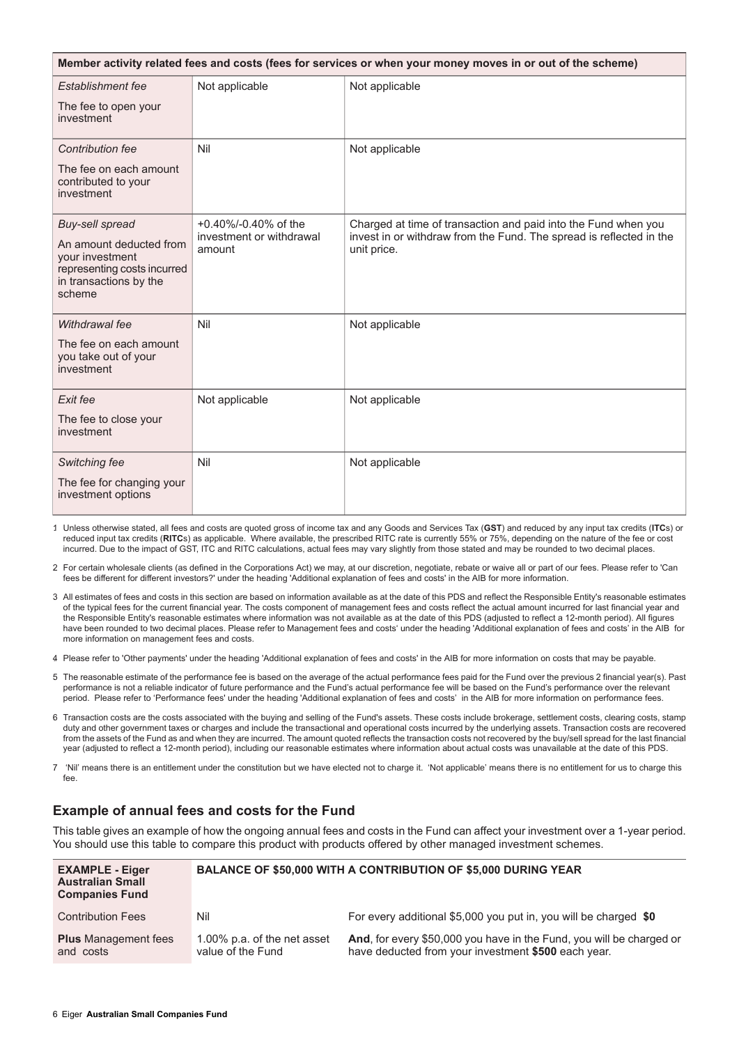| Member activity related fees and costs (fees for services or when your money moves in or out of the scheme)   |                                    |                                                                                    |  |
|---------------------------------------------------------------------------------------------------------------|------------------------------------|------------------------------------------------------------------------------------|--|
| Establishment fee                                                                                             | Not applicable                     | Not applicable                                                                     |  |
| The fee to open your<br>investment                                                                            |                                    |                                                                                    |  |
| <b>Contribution fee</b>                                                                                       | Nil                                | Not applicable                                                                     |  |
| The fee on each amount<br>contributed to your<br>investment                                                   |                                    |                                                                                    |  |
| <b>Buy-sell spread</b>                                                                                        | +0.40%/-0.40% of the               | Charged at time of transaction and paid into the Fund when you                     |  |
| An amount deducted from<br>vour investment<br>representing costs incurred<br>in transactions by the<br>scheme | investment or withdrawal<br>amount | invest in or withdraw from the Fund. The spread is reflected in the<br>unit price. |  |
| Withdrawal fee                                                                                                | Nil                                | Not applicable                                                                     |  |
| The fee on each amount<br>you take out of your<br>investment                                                  |                                    |                                                                                    |  |
| Exit fee                                                                                                      | Not applicable                     | Not applicable                                                                     |  |
| The fee to close your<br>investment                                                                           |                                    |                                                                                    |  |
| Switching fee                                                                                                 | Nil                                | Not applicable                                                                     |  |
| The fee for changing your<br>investment options                                                               |                                    |                                                                                    |  |

1. Unless otherwise stated, all fees and costs are quoted gross of income tax and any Goods and Services Tax (**GST**) and reduced by any input tax credits (**ITC**s) or reduced input tax credits (**RITC**s) as applicable. Where available, the prescribed RITC rate is currently 55% or 75%, depending on the nature of the fee or cost incurred. Due to the impact of GST, ITC and RITC calculations, actual fees may vary slightly from those stated and may be rounded to two decimal places.

2. For certain wholesale clients (as defined in the Corporations Act) we may, at our discretion, negotiate, rebate or waive all or part of our fees. Please refer to 'Can fees be different for different investors?' under the heading 'Additional explanation of fees and costs' in the AIB for more information.

3. All estimates of fees and costs in this section are based on information available as at the date of this PDS and reflect the Responsible Entity's reasonable estimates of the typical fees for the current financial year. The costs component of management fees and costs reflect the actual amount incurred for last financial year and the Responsible Entity's reasonable estimates where information was not available as at the date of this PDS (adjusted to reflect a 12-month period). All figures have been rounded to two decimal places. Please refer to Management fees and costs' under the heading 'Additional explanation of fees and costs' in the AIB for more information on management fees and costs.

4. Please refer to 'Other payments' under the heading 'Additional explanation of fees and costs' in the AIB for more information on costs that may be payable.

- 5. The reasonable estimate of the performance fee is based on the average of the actual performance fees paid for the Fund over the previous 2 financial year(s). Past performance is not a reliable indicator of future performance and the Fund's actual performance fee will be based on the Fund's performance over the relevant period. Please refer to 'Performance fees' under the heading 'Additional explanation of fees and costs' in the AIB for more information on performance fees.
- 6. Transaction costs are the costs associated with the buying and selling of the Fund's assets. These costs include brokerage, settlement costs, clearing costs, stamp duty and other government taxes or charges and include the transactional and operational costs incurred by the underlying assets. Transaction costs are recovered from the assets of the Fund as and when they are incurred. The amount quoted reflects the transaction costs not recovered by the buy/sell spread for the last financial year (adjusted to reflect a 12-month period), including our reasonable estimates where information about actual costs was unavailable at the date of this PDS.

7. 'Nil' means there is an entitlement under the constitution but we have elected not to charge it. 'Not applicable' means there is no entitlement for us to charge this fee.

### **Example of annual fees and costs for the Fund**

This table gives an example of how the ongoing annual fees and costs in the Fund can affect your investment over a 1-year period. You should use this table to compare this product with products offered by other managed investment schemes.

| <b>EXAMPLE - Eiger</b><br><b>Australian Small</b><br><b>Companies Fund</b> |                                                  | <b>BALANCE OF \$50,000 WITH A CONTRIBUTION OF \$5,000 DURING YEAR</b>                                                       |
|----------------------------------------------------------------------------|--------------------------------------------------|-----------------------------------------------------------------------------------------------------------------------------|
| <b>Contribution Fees</b>                                                   | Nil                                              | For every additional \$5,000 you put in, you will be charged \$0                                                            |
| <b>Plus</b> Management fees<br>and costs                                   | 1.00% p.a. of the net asset<br>value of the Fund | And, for every \$50,000 you have in the Fund, you will be charged or<br>have deducted from your investment \$500 each year. |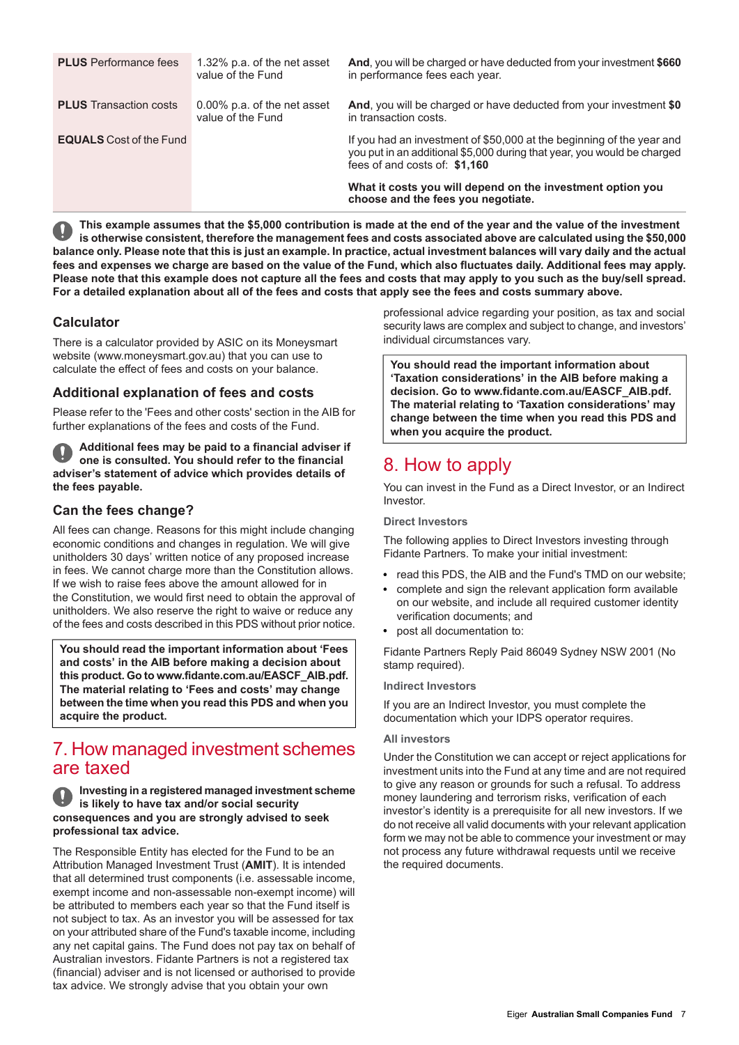| <b>PLUS</b> Performance fees   | 1.32% p.a. of the net asset<br>value of the Fund | <b>And, you will be charged or have deducted from your investment \$660</b><br>in performance fees each year.                                                                     |
|--------------------------------|--------------------------------------------------|-----------------------------------------------------------------------------------------------------------------------------------------------------------------------------------|
| <b>PLUS</b> Transaction costs  | 0.00% p.a. of the net asset<br>value of the Fund | And, you will be charged or have deducted from your investment \$0<br>in transaction costs.                                                                                       |
| <b>EQUALS</b> Cost of the Fund |                                                  | If you had an investment of \$50,000 at the beginning of the year and<br>you put in an additional \$5,000 during that year, you would be charged<br>fees of and costs of: \$1,160 |
|                                |                                                  | What it costs you will depend on the investment option you<br>choose and the fees you negotiate.                                                                                  |

This example assumes that the \$5,000 contribution is made at the end of the year and the value of the investment is otherwise consistent, therefore the management fees and costs associated above are calculated using the \$50,000 balance only. Please note that this is just an example. In practice, actual investment balances will vary daily and the actual fees and expenses we charge are based on the value of the Fund, which also fluctuates daily. Additional fees may apply. Please note that this example does not capture all the fees and costs that may apply to you such as the buy/sell spread. For a detailed explanation about all of the fees and costs that apply see the fees and costs summary above.

## **Calculator**

There is a calculator provided by ASIC on its Moneysmart website (www.moneysmart.gov.au) that you can use to calculate the effect of fees and costs on your balance.

### **Additional explanation of fees and costs**

Please refer to the 'Fees and other costs' section in the AIB for further explanations of the fees and costs of the Fund.

**Additional fees may be paid to a financial adviser if one is consulted. You should refer to the financial adviser's statement of advice which provides details of the fees payable.**

## **Can the fees change?**

All fees can change. Reasons for this might include changing economic conditions and changes in regulation. We will give unitholders 30 days' written notice of any proposed increase in fees. We cannot charge more than the Constitution allows. If we wish to raise fees above the amount allowed for in the Constitution, we would first need to obtain the approval of unitholders. We also reserve the right to waive or reduce any of the fees and costs described in this PDS without prior notice.

<span id="page-6-0"></span>**You should read the important information about 'Fees and costs' in the AIB before making a decision about this product. Go to www.fidante.com.au/EASCF\_AIB.pdf. The material relating to 'Fees and costs' may change between the time when you read this PDS and when you acquire the product.**

## 7. How managed investment schemes are taxed

#### **Investing in a registered managed investment scheme is likely to have tax and/or social security consequences and you are strongly advised to seek professional tax advice.**

The Responsible Entity has elected for the Fund to be an Attribution Managed Investment Trust (**AMIT**). It is intended that all determined trust components (i.e. assessable income, exempt income and non-assessable non-exempt income) will be attributed to members each year so that the Fund itself is not subject to tax. As an investor you will be assessed for tax on your attributed share of the Fund's taxable income, including any net capital gains. The Fund does not pay tax on behalf of Australian investors. Fidante Partners is not a registered tax (financial) adviser and is not licensed or authorised to provide tax advice. We strongly advise that you obtain your own

professional advice regarding your position, as tax and social security laws are complex and subject to change, and investors' individual circumstances vary.

**You should read the important information about 'Taxation considerations' in the AIB before making a decision. Go to www.fidante.com.au/EASCF\_AIB.pdf. The material relating to 'Taxation considerations' may change between the time when you read this PDS and when you acquire the product.**

## <span id="page-6-1"></span>8. How to apply

You can invest in the Fund as a Direct Investor, or an Indirect Investor.

#### **Direct Investors**

The following applies to Direct Investors investing through Fidante Partners. To make your initial investment:

- read this PDS, the AIB and the Fund's TMD on our website;
- complete and sign the relevant application form available on our website, and include all required customer identity verification documents; and
- post all documentation to:

Fidante Partners Reply Paid 86049 Sydney NSW 2001 (No stamp required).

#### **Indirect Investors**

If you are an Indirect Investor, you must complete the documentation which your IDPS operator requires.

#### **All investors**

Under the Constitution we can accept or reject applications for investment units into the Fund at any time and are not required to give any reason or grounds for such a refusal. To address money laundering and terrorism risks, verification of each investor's identity is a prerequisite for all new investors. If we do not receive all valid documents with your relevant application form we may not be able to commence your investment or may not process any future withdrawal requests until we receive the required documents.